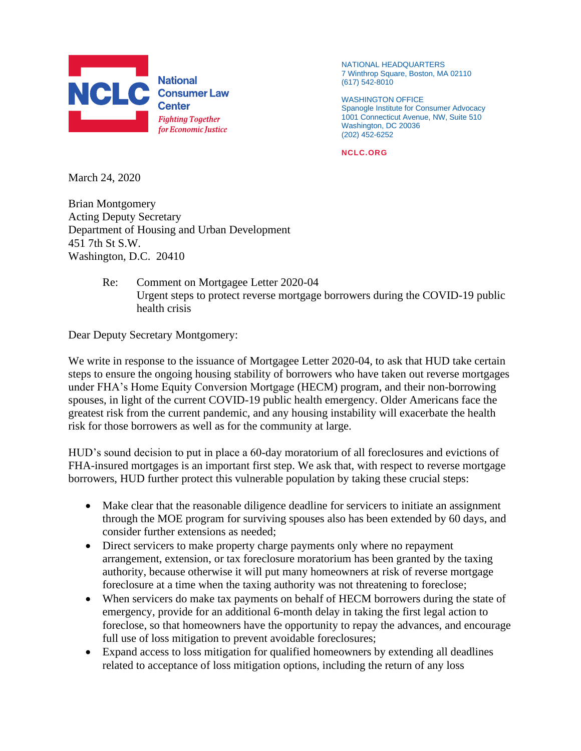

NATIONAL HEADQUARTERS 7 Winthrop Square, Boston, MA 02110 (617) 542-8010

WASHINGTON OFFICE Spanogle Institute for Consumer Advocacy 1001 Connecticut Avenue, NW, Suite 510 Washington, DC 20036 (202) 452-6252

**NCLC.ORG**

March 24, 2020

Brian Montgomery Acting Deputy Secretary Department of Housing and Urban Development 451 7th St S.W. Washington, D.C. 20410

> Re: Comment on Mortgagee Letter 2020-04 Urgent steps to protect reverse mortgage borrowers during the COVID-19 public health crisis

Dear Deputy Secretary Montgomery:

We write in response to the issuance of Mortgagee Letter 2020-04, to ask that HUD take certain steps to ensure the ongoing housing stability of borrowers who have taken out reverse mortgages under FHA's Home Equity Conversion Mortgage (HECM) program, and their non-borrowing spouses, in light of the current COVID-19 public health emergency. Older Americans face the greatest risk from the current pandemic, and any housing instability will exacerbate the health risk for those borrowers as well as for the community at large.

HUD's sound decision to put in place a 60-day moratorium of all foreclosures and evictions of FHA-insured mortgages is an important first step. We ask that, with respect to reverse mortgage borrowers, HUD further protect this vulnerable population by taking these crucial steps:

- Make clear that the reasonable diligence deadline for servicers to initiate an assignment through the MOE program for surviving spouses also has been extended by 60 days, and consider further extensions as needed;
- Direct servicers to make property charge payments only where no repayment arrangement, extension, or tax foreclosure moratorium has been granted by the taxing authority, because otherwise it will put many homeowners at risk of reverse mortgage foreclosure at a time when the taxing authority was not threatening to foreclose;
- When servicers do make tax payments on behalf of HECM borrowers during the state of emergency, provide for an additional 6-month delay in taking the first legal action to foreclose, so that homeowners have the opportunity to repay the advances, and encourage full use of loss mitigation to prevent avoidable foreclosures;
- Expand access to loss mitigation for qualified homeowners by extending all deadlines related to acceptance of loss mitigation options, including the return of any loss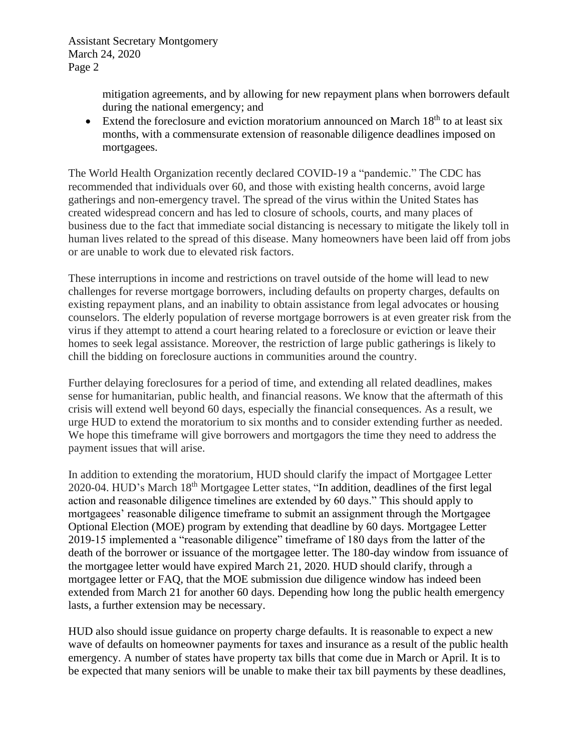Assistant Secretary Montgomery March 24, 2020 Page 2

> mitigation agreements, and by allowing for new repayment plans when borrowers default during the national emergency; and

• Extend the foreclosure and eviction moratorium announced on March  $18<sup>th</sup>$  to at least six months, with a commensurate extension of reasonable diligence deadlines imposed on mortgagees.

The World Health Organization recently declared COVID-19 a "pandemic." The CDC has recommended that individuals over 60, and those with existing health concerns, avoid large gatherings and non-emergency travel. The spread of the virus within the United States has created widespread concern and has led to closure of schools, courts, and many places of business due to the fact that immediate social distancing is necessary to mitigate the likely toll in human lives related to the spread of this disease. Many homeowners have been laid off from jobs or are unable to work due to elevated risk factors.

These interruptions in income and restrictions on travel outside of the home will lead to new challenges for reverse mortgage borrowers, including defaults on property charges, defaults on existing repayment plans, and an inability to obtain assistance from legal advocates or housing counselors. The elderly population of reverse mortgage borrowers is at even greater risk from the virus if they attempt to attend a court hearing related to a foreclosure or eviction or leave their homes to seek legal assistance. Moreover, the restriction of large public gatherings is likely to chill the bidding on foreclosure auctions in communities around the country.

Further delaying foreclosures for a period of time, and extending all related deadlines, makes sense for humanitarian, public health, and financial reasons. We know that the aftermath of this crisis will extend well beyond 60 days, especially the financial consequences. As a result, we urge HUD to extend the moratorium to six months and to consider extending further as needed. We hope this timeframe will give borrowers and mortgagors the time they need to address the payment issues that will arise.

In addition to extending the moratorium, HUD should clarify the impact of Mortgagee Letter 2020-04. HUD's March 18<sup>th</sup> Mortgagee Letter states, "In addition, deadlines of the first legal action and reasonable diligence timelines are extended by 60 days." This should apply to mortgagees' reasonable diligence timeframe to submit an assignment through the Mortgagee Optional Election (MOE) program by extending that deadline by 60 days. Mortgagee Letter 2019-15 implemented a "reasonable diligence" timeframe of 180 days from the latter of the death of the borrower or issuance of the mortgagee letter. The 180-day window from issuance of the mortgagee letter would have expired March 21, 2020. HUD should clarify, through a mortgagee letter or FAQ, that the MOE submission due diligence window has indeed been extended from March 21 for another 60 days. Depending how long the public health emergency lasts, a further extension may be necessary.

HUD also should issue guidance on property charge defaults. It is reasonable to expect a new wave of defaults on homeowner payments for taxes and insurance as a result of the public health emergency. A number of states have property tax bills that come due in March or April. It is to be expected that many seniors will be unable to make their tax bill payments by these deadlines,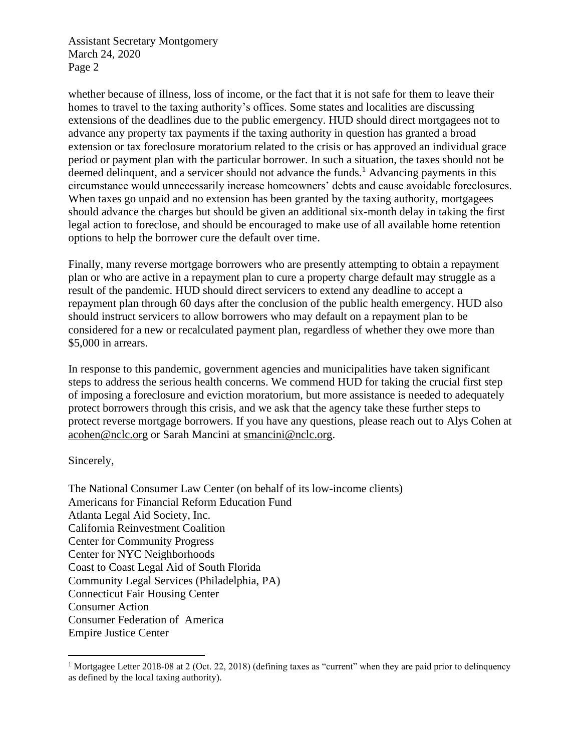Assistant Secretary Montgomery March 24, 2020 Page 2

whether because of illness, loss of income, or the fact that it is not safe for them to leave their homes to travel to the taxing authority's offices. Some states and localities are discussing extensions of the deadlines due to the public emergency. HUD should direct mortgagees not to advance any property tax payments if the taxing authority in question has granted a broad extension or tax foreclosure moratorium related to the crisis or has approved an individual grace period or payment plan with the particular borrower. In such a situation, the taxes should not be deemed delinquent, and a servicer should not advance the funds.<sup>1</sup> Advancing payments in this circumstance would unnecessarily increase homeowners' debts and cause avoidable foreclosures. When taxes go unpaid and no extension has been granted by the taxing authority, mortgagees should advance the charges but should be given an additional six-month delay in taking the first legal action to foreclose, and should be encouraged to make use of all available home retention options to help the borrower cure the default over time.

Finally, many reverse mortgage borrowers who are presently attempting to obtain a repayment plan or who are active in a repayment plan to cure a property charge default may struggle as a result of the pandemic. HUD should direct servicers to extend any deadline to accept a repayment plan through 60 days after the conclusion of the public health emergency. HUD also should instruct servicers to allow borrowers who may default on a repayment plan to be considered for a new or recalculated payment plan, regardless of whether they owe more than \$5,000 in arrears.

In response to this pandemic, government agencies and municipalities have taken significant steps to address the serious health concerns. We commend HUD for taking the crucial first step of imposing a foreclosure and eviction moratorium, but more assistance is needed to adequately protect borrowers through this crisis, and we ask that the agency take these further steps to protect reverse mortgage borrowers. If you have any questions, please reach out to Alys Cohen at [acohen@nclc.org](mailto:acohen@nclc.org) or Sarah Mancini at [smancini@nclc.org.](mailto:smancini@nclc.org)

Sincerely,

The National Consumer Law Center (on behalf of its low-income clients) Americans for Financial Reform Education Fund Atlanta Legal Aid Society, Inc. California Reinvestment Coalition Center for Community Progress Center for NYC Neighborhoods Coast to Coast Legal Aid of South Florida Community Legal Services (Philadelphia, PA) Connecticut Fair Housing Center Consumer Action Consumer Federation of America Empire Justice Center

<sup>&</sup>lt;sup>1</sup> Mortgagee Letter 2018-08 at 2 (Oct. 22, 2018) (defining taxes as "current" when they are paid prior to delinquency as defined by the local taxing authority).